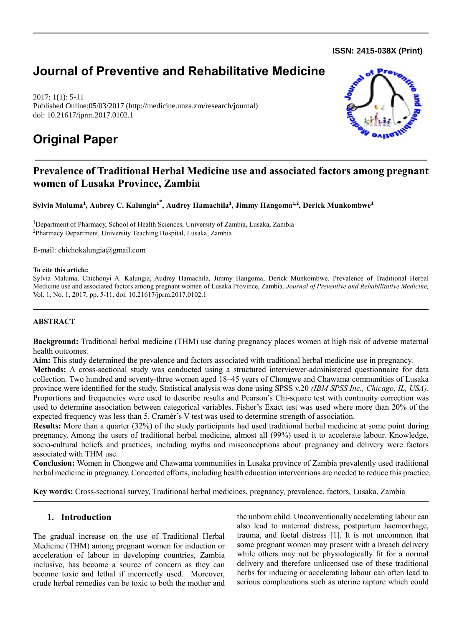**ISSN: 2415-038X (Print)** 

# **Journal of Preventive and Rehabilitative Medicine**

2017; 1(1): 5-11 Published Online:05/03/2017 (http://medicine.unza.zm/research/journal) doi: 10.21617/jprm.2017.0102.1

# **Original Paper**



### **Prevalence of Traditional Herbal Medicine use and associated factors among pregnant women of Lusaka Province, Zambia**

**Sylvia Maluma<sup>1</sup> , Aubrey C. Kalungia<sup>1</sup>**\* **, Audrey Hamachila<sup>1</sup> , Jimmy Hangoma1,2, Derick Munkombwe<sup>1</sup>**

<sup>1</sup>Department of Pharmacy, School of Health Sciences, University of Zambia, Lusaka, Zambia <sup>2</sup>Pharmacy Department, University Teaching Hospital, Lusaka, Zambia

E-mail: [chichokalungia@gmail.com](mailto:chichokalungia@gmail.com)

#### **To cite this article:**

Sylvia Maluma, Chichonyi A. Kalungia, Audrey Hamachila, Jimmy Hangoma, Derick Munkombwe. Prevalence of Traditional Herbal Medicine use and associated factors among pregnant women of Lusaka Province, Zambia. *Journal of Preventive and Rehabilitative Medicine,*  Vol. 1, No. 1, 2017, pp. 5-11. doi: 10.21617/jprm.2017.0102.1

#### **ABSTRACT**

**Background:** Traditional herbal medicine (THM) use during pregnancy places women at high risk of adverse maternal health outcomes.

**Aim:** This study determined the prevalence and factors associated with traditional herbal medicine use in pregnancy.

**Methods:** A cross-sectional study was conducted using a structured interviewer-administered questionnaire for data collection. Two hundred and seventy-three women aged 18–45 years of Chongwe and Chawama communities of Lusaka province were identified for the study. Statistical analysis was done using SPSS v.20 *(IBM SPSS Inc., Chicago, IL, USA)*. Proportions and frequencies were used to describe results and Pearson's Chi-square test with continuity correction was used to determine association between categorical variables. Fisher's Exact test was used where more than 20% of the expected frequency was less than 5. Cramér's V test was used to determine strength of association.

**Results:** More than a quarter (32%) of the study participants had used traditional herbal medicine at some point during pregnancy. Among the users of traditional herbal medicine, almost all (99%) used it to accelerate labour. Knowledge, socio-cultural beliefs and practices, including myths and misconceptions about pregnancy and delivery were factors associated with THM use.

**Conclusion:** Women in Chongwe and Chawama communities in Lusaka province of Zambia prevalently used traditional herbal medicine in pregnancy. Concerted efforts, including health education interventions are needed to reduce this practice.

**Key words:** Cross-sectional survey, Traditional herbal medicines, pregnancy, prevalence, factors, Lusaka, Zambia

#### **1. Introduction**

The gradual increase on the use of Traditional Herbal Medicine (THM) among pregnant women for induction or acceleration of labour in developing countries, Zambia inclusive, has become a source of concern as they can become toxic and lethal if incorrectly used. Moreover, crude herbal remedies can be toxic to both the mother and the unborn child. Unconventionally accelerating labour can also lead to maternal distress, postpartum haemorrhage, trauma, and foetal distress [1]. It is not uncommon that some pregnant women may present with a breach delivery while others may not be physiologically fit for a normal delivery and therefore unlicensed use of these traditional herbs for inducing or accelerating labour can often lead to serious complications such as uterine rapture which could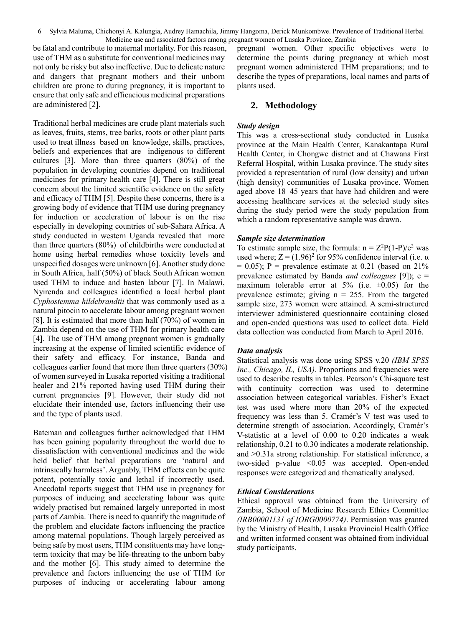6 Sylvia Maluma, Chichonyi A. Kalungia, Audrey Hamachila, Jimmy Hangoma, Derick Munkombwe. Prevalence of Traditional Herbal Medicine use and associated factors among pregnant women of Lusaka Province, Zambia

be fatal and contribute to maternal mortality. For this reason, use of THM as a substitute for conventional medicines may not only be risky but also ineffective. Due to delicate nature and dangers that pregnant mothers and their unborn children are prone to during pregnancy, it is important to ensure that only safe and efficacious medicinal preparations are administered [2].

Traditional herbal medicines are crude plant materials such as leaves, fruits, stems, tree barks, roots or other plant parts used to treat illness based on knowledge, skills, practices, beliefs and experiences that are indigenous to different cultures [3]. More than three quarters (80%) of the population in developing countries depend on traditional medicines for primary health care [4]. There is still great concern about the limited scientific evidence on the safety and efficacy of THM [5]. Despite these concerns, there is a growing body of evidence that THM use during pregnancy for induction or acceleration of labour is on the rise especially in developing countries of sub-Sahara Africa. A study conducted in western Uganda revealed that more than three quarters (80%) of childbirths were conducted at home using herbal remedies whose toxicity levels and unspecified dosages were unknown [6]. Another study done in South Africa, half (50%) of black South African women used THM to induce and hasten labour [7]. In Malawi, Nyirenda and colleagues identified a local herbal plant *Cyphostemma hildebrandtii* that was commonly used as a natural pitocin to accelerate labour among pregnant women [8]. It is estimated that more than half (70%) of women in Zambia depend on the use of THM for primary health care [4]. The use of THM among pregnant women is gradually increasing at the expense of limited scientific evidence of their safety and efficacy. For instance, Banda and colleagues earlier found that more than three quarters (30%) of women surveyed in Lusaka reported visiting a traditional healer and 21% reported having used THM during their current pregnancies [9]. However, their study did not elucidate their intended use, factors influencing their use and the type of plants used.

Bateman and colleagues further acknowledged that THM has been gaining popularity throughout the world due to dissatisfaction with conventional medicines and the wide held belief that herbal preparations are 'natural and intrinsically harmless'. Arguably, THM effects can be quite potent, potentially toxic and lethal if incorrectly used. Anecdotal reports suggest that THM use in pregnancy for purposes of inducing and accelerating labour was quite widely practised but remained largely unreported in most parts of Zambia. There is need to quantify the magnitude of the problem and elucidate factors influencing the practice among maternal populations. Though largely perceived as being safe by most users, THM constituents may have longterm toxicity that may be life-threating to the unborn baby and the mother [6]. This study aimed to determine the prevalence and factors influencing the use of THM for purposes of inducing or accelerating labour among pregnant women. Other specific objectives were to determine the points during pregnancy at which most pregnant women administered THM preparations; and to describe the types of preparations, local names and parts of plants used.

#### **2. Methodology**

#### *Study design*

This was a cross-sectional study conducted in Lusaka province at the Main Health Center, Kanakantapa Rural Health Center, in Chongwe district and at Chawana First Referral Hospital, within Lusaka province. The study sites provided a representation of rural (low density) and urban (high density) communities of Lusaka province. Women aged above 18–45 years that have had children and were accessing healthcare services at the selected study sites during the study period were the study population from which a random representative sample was drawn.

#### *Sample size determination*

To estimate sample size, the formula:  $n = Z^2P(1-P)/e^2$  was used where;  $Z = (1.96)^2$  for 95% confidence interval (i.e.  $\alpha$ )  $= 0.05$ ; P = prevalence estimate at 0.21 (based on 21%) prevalence estimated by Banda *and colleagues* [9]); e = maximum tolerable error at  $5\%$  (i.e.  $\pm 0.05$ ) for the prevalence estimate; giving  $n = 255$ . From the targeted sample size, 273 women were attained. A semi-structured interviewer administered questionnaire containing closed and open-ended questions was used to collect data. Field data collection was conducted from March to April 2016.

#### *Data analysis*

Statistical analysis was done using SPSS v.20 *(IBM SPSS Inc., Chicago, IL, USA)*. Proportions and frequencies were used to describe results in tables. Pearson's Chi-square test with continuity correction was used to determine association between categorical variables. Fisher's Exact test was used where more than 20% of the expected frequency was less than 5. Cramér's V test was used to determine strength of association. Accordingly, Cramér's V-statistic at a level of 0.00 to 0.20 indicates a weak relationship, 0.21 to 0.30 indicates a moderate relationship, and >0.31a strong relationship. For statistical inference, a two-sided p-value <0.05 was accepted. Open-ended responses were categorized and thematically analysed.

#### *Ethical Considerations*

Ethical approval was obtained from the University of Zambia, School of Medicine Research Ethics Committee *(IRB00001131 of IORG0000774)*. Permission was granted by the Ministry of Health, Lusaka Provincial Health Office and written informed consent was obtained from individual study participants.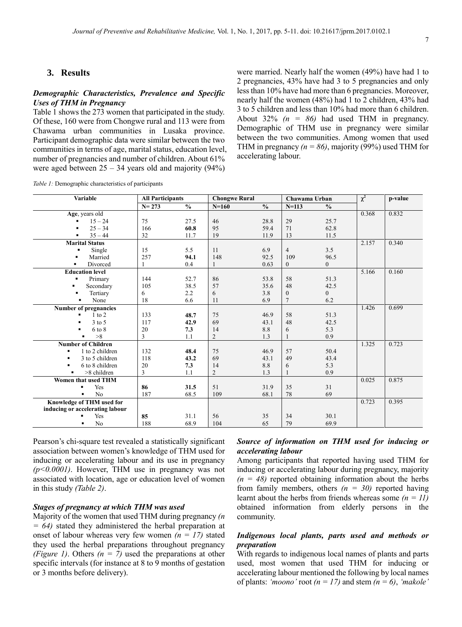#### **3. Results**

#### *Demographic Characteristics, Prevalence and Specific Uses of THM in Pregnancy*

Table 1 shows the 273 women that participated in the study. Of these, 160 were from Chongwe rural and 113 were from Chawama urban communities in Lusaka province. Participant demographic data were similar between the two communities in terms of age, marital status, education level, number of pregnancies and number of children. About 61% were aged between  $25 - 34$  years old and majority (94%)

were married. Nearly half the women (49%) have had 1 to 2 pregnancies, 43% have had 3 to 5 pregnancies and only less than 10% have had more than 6 pregnancies. Moreover, nearly half the women (48%) had 1 to 2 children, 43% had 3 to 5 children and less than 10% had more than 6 children. About  $32\%$  ( $n = 86$ ) had used THM in pregnancy. Demographic of THM use in pregnancy were similar between the two communities. Among women that used THM in pregnancy  $(n = 86)$ , majority (99%) used THM for accelerating labour.

*Table 1:* Demographic characteristics of participants

| <b>Variable</b>                  | <b>All Participants</b> |               | <b>Chongwe Rural</b> |               | Chawama Urban  |               | $\chi^2$ | p-value |
|----------------------------------|-------------------------|---------------|----------------------|---------------|----------------|---------------|----------|---------|
|                                  | $N = 273$               | $\frac{0}{0}$ | $N=160$              | $\frac{0}{0}$ | $N = 113$      | $\frac{0}{0}$ |          |         |
| Age, years old                   |                         |               |                      |               |                |               | 0.368    | 0.832   |
| $15 - 24$                        | 75                      | 27.5          | 46                   | 28.8          | 29             | 25.7          |          |         |
| $25 - 34$<br>٠                   | 166                     | 60.8          | 95                   | 59.4          | 71             | 62.8          |          |         |
| $35 - 44$<br>$\blacksquare$      | 32                      | 11.7          | 19                   | 11.9          | 13             | 11.5          |          |         |
| <b>Marital Status</b>            |                         |               |                      |               |                |               | 2.157    | 0.340   |
| Single<br>$\blacksquare$         | 15                      | 5.5           | 11                   | 6.9           | $\overline{4}$ | 3.5           |          |         |
| Married<br>$\blacksquare$        | 257                     | 94.1          | 148                  | 92.5          | 109            | 96.5          |          |         |
| Divorced<br>٠                    | 1                       | 0.4           |                      | 0.63          | $\mathbf{0}$   | $\mathbf{0}$  |          |         |
| <b>Education level</b>           |                         |               |                      |               |                |               | 5.166    | 0.160   |
| Primary<br>$\blacksquare$        | 144                     | 52.7          | 86                   | 53.8          | 58             | 51.3          |          |         |
| Secondary<br>$\blacksquare$      | 105                     | 38.5          | 57                   | 35.6          | 48             | 42.5          |          |         |
| Tertiary<br>$\blacksquare$       | 6                       | 2.2           | 6                    | 3.8           | $\theta$       | $\mathbf{0}$  |          |         |
| None<br>$\blacksquare$           | 18                      | 6.6           | 11                   | 6.9           | $\overline{7}$ | 6.2           |          |         |
| Number of pregnancies            |                         |               |                      |               |                |               | 1.426    | 0.699   |
| $1$ to $2$                       | 133                     | 48.7          | 75                   | 46.9          | 58             | 51.3          |          |         |
| $3$ to $5$<br>٠                  | 117                     | 42.9          | 69                   | 43.1          | 48             | 42.5          |          |         |
| 6 to 8<br>٠                      | 20                      | 7.3           | 14                   | 8.8           | 6              | 5.3           |          |         |
| >8                               | 3                       | 1.1           | $\overline{2}$       | 1.3           |                | 0.9           |          |         |
| <b>Number of Children</b>        |                         |               |                      |               |                |               | 1.325    | 0.723   |
| 1 to 2 children                  | 132                     | 48.4          | 75                   | 46.9          | 57             | 50.4          |          |         |
| 3 to 5 children                  | 118                     | 43.2          | 69                   | 43.1          | 49             | 43.4          |          |         |
| 6 to 8 children                  | 20                      | 7.3           | 14                   | 8.8           | 6              | 5.3           |          |         |
| >8 children                      | 3                       | 1.1           | $\overline{2}$       | 1.3           |                | 0.9           |          |         |
| Women that used THM              |                         |               |                      |               |                |               | 0.025    | 0.875   |
| Yes<br>٠                         | 86                      | 31.5          | 51                   | 31.9          | 35             | 31            |          |         |
| N <sub>0</sub><br>$\blacksquare$ | 187                     | 68.5          | 109                  | 68.1          | 78             | 69            |          |         |
| Knowledge of THM used for        |                         |               |                      |               |                |               | 0.723    | 0.395   |
| inducing or accelerating labour  |                         |               |                      |               |                |               |          |         |
| Yes<br>٠                         | 85                      | 31.1          | 56                   | 35            | 34             | 30.1          |          |         |
| N <sub>0</sub><br>$\blacksquare$ | 188                     | 68.9          | 104                  | 65            | 79             | 69.9          |          |         |

Pearson's chi-square test revealed a statistically significant association between women's knowledge of THM used for inducing or accelerating labour and its use in pregnancy *(p<0.0001)*. However, THM use in pregnancy was not associated with location, age or education level of women in this study *(Table 2)*.

#### *Stages of pregnancy at which THM was used*

Majority of the women that used THM during pregnancy *(n = 64)* stated they administered the herbal preparation at onset of labour whereas very few women *(n = 17)* stated they used the herbal preparations throughout pregnancy *(Figure 1)*. Others *(n = 7)* used the preparations at other specific intervals (for instance at 8 to 9 months of gestation or 3 months before delivery).

#### *Source of information on THM used for inducing or accelerating labour*

Among participants that reported having used THM for inducing or accelerating labour during pregnancy, majority  $(n = 48)$  reported obtaining information about the herbs from family members, others  $(n = 30)$  reported having learnt about the herbs from friends whereas some *(n = 11)* obtained information from elderly persons in the community.

#### *Indigenous local plants, parts used and methods or preparation*

With regards to indigenous local names of plants and parts used, most women that used THM for inducing or accelerating labour mentioned the following by local names of plants: *'moono'* root  $(n = 17)$  and stem  $(n = 6)$ , *'makole'*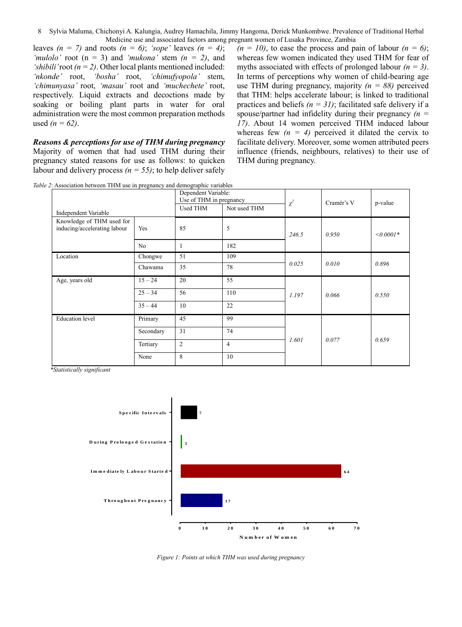8 Sylvia Maluma, Chichonyi A. Kalungia, Audrey Hamachila, Jimmy Hangoma, Derick Munkombwe. Prevalence of Traditional Herbal Medicine use and associated factors among pregnant women of Lusaka Province, Zambia

leaves  $(n = 7)$  and roots  $(n = 6)$ ; *'sope'* leaves  $(n = 4)$ ; *'mulolo'* root (n = 3) and *'mukona'* stem *(n = 2)*, and 'shibili' root  $(n = 2)$ . Other local plants mentioned included: *'nkonde'* root, *'bosha'* root, *'chimufyopola'* stem, *'chimunyasa'* root, *'masau'* root and *'muchechete'* root, respectively. Liquid extracts and decoctions made by soaking or boiling plant parts in water for oral administration were the most common preparation methods used  $(n = 62)$ .

*Reasons & perceptions for use of THM during pregnancy* Majority of women that had used THM during their pregnancy stated reasons for use as follows: to quicken labour and delivery process  $(n = 55)$ ; to help deliver safely

 $(n = 10)$ , to ease the process and pain of labour  $(n = 6)$ ; whereas few women indicated they used THM for fear of myths associated with effects of prolonged labour *(n = 3)*. In terms of perceptions why women of child-bearing age use THM during pregnancy, majority  $(n = 88)$  perceived that THM: helps accelerate labour; is linked to traditional practices and beliefs  $(n = 31)$ ; facilitated safe delivery if a spouse/partner had infidelity during their pregnancy *(n = 17)*. About 14 women perceived THM induced labour whereas few  $(n = 4)$  perceived it dilated the cervix to facilitate delivery. Moreover, some women attributed peers influence (friends, neighbours, relatives) to their use of THM during pregnancy.

Independent Variable Dependent Variable: Use of THM in pregnancy *χ* Cramér's V p-value Used THM Not used THM Knowledge of THM used for  $inducing/accelerating labour$   $Yes$  85 5 *246.5 0.950 <0.0001\** No 1 182 Location Chongwe 51 109 *0.025 0.010 0.896* Chawama <sup>35</sup> <sup>78</sup> Age, years old  $15 - 24$  20 55 25 – 34 56 110 *1.197* 0.066 0.550  $35 - 44$  10 22 Education level Primary 45 99 *1.601 0.077 0.659* Secondary 31 74 Tertiary 2 4 None 8 10

*Table 2*: Association between THM use in pregnancy and demographic variables

 *\*Statistically significant*



*Figure 1: Points at which THM was used during pregnancy*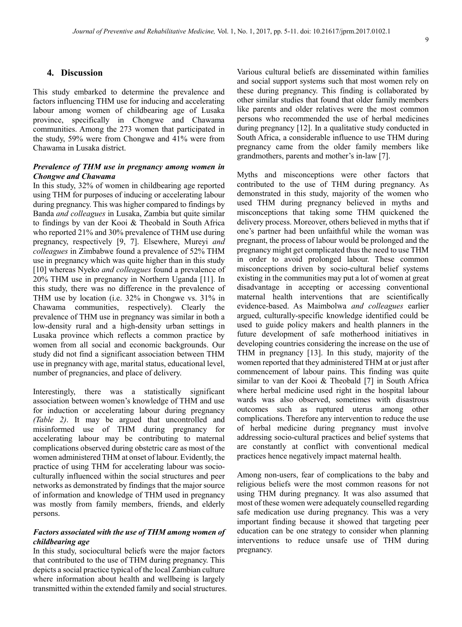#### $\mathbf Q$

#### **4. Discussion**

This study embarked to determine the prevalence and factors influencing THM use for inducing and accelerating labour among women of childbearing age of Lusaka province, specifically in Chongwe and Chawama communities. Among the 273 women that participated in the study, 59% were from Chongwe and 41% were from Chawama in Lusaka district.

#### *Prevalence of THM use in pregnancy among women in Chongwe and Chawama*

In this study, 32% of women in childbearing age reported using THM for purposes of inducing or accelerating labour during pregnancy. This was higher compared to findings by Banda *and colleagues* in Lusaka, Zambia but quite similar to findings by van der Kooi & Theobald in South Africa who reported 21% and 30% prevalence of THM use during pregnancy, respectively [9, 7]. Elsewhere, Mureyi *and colleagues* in Zimbabwe found a prevalence of 52% THM use in pregnancy which was quite higher than in this study [10] whereas Nyeko *and colleagues* found a prevalence of 20% THM use in pregnancy in Northern Uganda [11]. In this study, there was no difference in the prevalence of THM use by location (i.e. 32% in Chongwe vs. 31% in Chawama communities, respectively). Clearly the prevalence of THM use in pregnancy was similar in both a low-density rural and a high-density urban settings in Lusaka province which reflects a common practice by women from all social and economic backgrounds. Our study did not find a significant association between THM use in pregnancy with age, marital status, educational level, number of pregnancies, and place of delivery.

Interestingly, there was a statistically significant association between women's knowledge of THM and use for induction or accelerating labour during pregnancy *(Table 2)*. It may be argued that uncontrolled and misinformed use of THM during pregnancy for accelerating labour may be contributing to maternal complications observed during obstetric care as most of the women administered THM at onset of labour. Evidently, the practice of using THM for accelerating labour was socioculturally influenced within the social structures and peer networks as demonstrated by findings that the major source of information and knowledge of THM used in pregnancy was mostly from family members, friends, and elderly persons.

#### *Factors associated with the use of THM among women of childbearing age*

In this study, sociocultural beliefs were the major factors that contributed to the use of THM during pregnancy. This depicts a social practice typical of the local Zambian culture where information about health and wellbeing is largely transmitted within the extended family and social structures. Various cultural beliefs are disseminated within families and social support systems such that most women rely on these during pregnancy. This finding is collaborated by other similar studies that found that older family members like parents and older relatives were the most common persons who recommended the use of herbal medicines during pregnancy [12]. In a qualitative study conducted in South Africa, a considerable influence to use THM during pregnancy came from the older family members like grandmothers, parents and mother's in-law [7].

Myths and misconceptions were other factors that contributed to the use of THM during pregnancy. As demonstrated in this study, majority of the women who used THM during pregnancy believed in myths and misconceptions that taking some THM quickened the delivery process. Moreover, others believed in myths that if one's partner had been unfaithful while the woman was pregnant, the process of labour would be prolonged and the pregnancy might get complicated thus the need to use THM in order to avoid prolonged labour. These common misconceptions driven by socio-cultural belief systems existing in the communities may put a lot of women at great disadvantage in accepting or accessing conventional maternal health interventions that are scientifically evidence-based. As Maimbolwa *and colleagues* earlier argued, culturally-specific knowledge identified could be used to guide policy makers and health planners in the future development of safe motherhood initiatives in developing countries considering the increase on the use of THM in pregnancy [13]. In this study, majority of the women reported that they administered THM at or just after commencement of labour pains. This finding was quite similar to van der Kooi & Theobald [7] in South Africa where herbal medicine used right in the hospital labour wards was also observed, sometimes with disastrous outcomes such as ruptured uterus among other complications. Therefore any intervention to reduce the use of herbal medicine during pregnancy must involve addressing socio-cultural practices and belief systems that are constantly at conflict with conventional medical practices hence negatively impact maternal health.

Among non-users, fear of complications to the baby and religious beliefs were the most common reasons for not using THM during pregnancy. It was also assumed that most of these women were adequately counselled regarding safe medication use during pregnancy. This was a very important finding because it showed that targeting peer education can be one strategy to consider when planning interventions to reduce unsafe use of THM during pregnancy.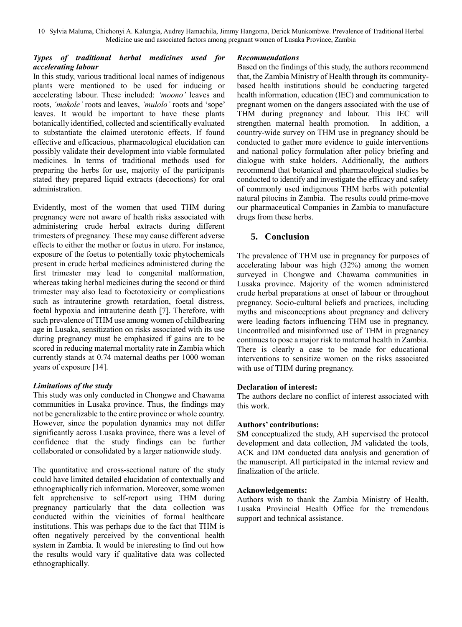10 Sylvia Maluma, Chichonyi A. Kalungia, Audrey Hamachila, Jimmy Hangoma, Derick Munkombwe. Prevalence of Traditional Herbal Medicine use and associated factors among pregnant women of Lusaka Province, Zambia

#### *Types of traditional herbal medicines used for accelerating labour*

In this study, various traditional local names of indigenous plants were mentioned to be used for inducing or accelerating labour. These included: *'moono'* leaves and roots, *'makole'* roots and leaves, *'mulolo'* roots and 'sope' leaves. It would be important to have these plants botanically identified, collected and scientifically evaluated to substantiate the claimed uterotonic effects. If found effective and efficacious, pharmacological elucidation can possibly validate their development into viable formulated medicines. In terms of traditional methods used for preparing the herbs for use, majority of the participants stated they prepared liquid extracts (decoctions) for oral administration.

Evidently, most of the women that used THM during pregnancy were not aware of health risks associated with administering crude herbal extracts during different trimesters of pregnancy. These may cause different adverse effects to either the mother or foetus in utero. For instance, exposure of the foetus to potentially toxic phytochemicals present in crude herbal medicines administered during the first trimester may lead to congenital malformation, whereas taking herbal medicines during the second or third trimester may also lead to foetotoxicity or complications such as intrauterine growth retardation, foetal distress, foetal hypoxia and intrauterine death [7]. Therefore, with such prevalence of THM use among women of childbearing age in Lusaka, sensitization on risks associated with its use during pregnancy must be emphasized if gains are to be scored in reducing maternal mortality rate in Zambia which currently stands at 0.74 maternal deaths per 1000 woman years of exposure [14].

#### *Limitations of the study*

This study was only conducted in Chongwe and Chawama communities in Lusaka province. Thus, the findings may not be generalizable to the entire province or whole country. However, since the population dynamics may not differ significantly across Lusaka province, there was a level of confidence that the study findings can be further collaborated or consolidated by a larger nationwide study.

The quantitative and cross-sectional nature of the study could have limited detailed elucidation of contextually and ethnographically rich information. Moreover, some women felt apprehensive to self-report using THM during pregnancy particularly that the data collection was conducted within the vicinities of formal healthcare institutions. This was perhaps due to the fact that THM is often negatively perceived by the conventional health system in Zambia. It would be interesting to find out how the results would vary if qualitative data was collected ethnographically.

#### *Recommendations*

Based on the findings of this study, the authors recommend that, the Zambia Ministry of Health through its communitybased health institutions should be conducting targeted health information, education (IEC) and communication to pregnant women on the dangers associated with the use of THM during pregnancy and labour. This IEC will strengthen maternal health promotion. In addition, a country-wide survey on THM use in pregnancy should be conducted to gather more evidence to guide interventions and national policy formulation after policy briefing and dialogue with stake holders. Additionally, the authors recommend that botanical and pharmacological studies be conducted to identify and investigate the efficacy and safety of commonly used indigenous THM herbs with potential natural pitocins in Zambia. The results could prime-move our pharmaceutical Companies in Zambia to manufacture drugs from these herbs.

### **5. Conclusion**

The prevalence of THM use in pregnancy for purposes of accelerating labour was high (32%) among the women surveyed in Chongwe and Chawama communities in Lusaka province. Majority of the women administered crude herbal preparations at onset of labour or throughout pregnancy. Socio-cultural beliefs and practices, including myths and misconceptions about pregnancy and delivery were leading factors influencing THM use in pregnancy. Uncontrolled and misinformed use of THM in pregnancy continues to pose a major risk to maternal health in Zambia. There is clearly a case to be made for educational interventions to sensitize women on the risks associated with use of THM during pregnancy.

#### **Declaration of interest:**

The authors declare no conflict of interest associated with this work.

#### **Authors' contributions:**

SM conceptualized the study, AH supervised the protocol development and data collection, JM validated the tools, ACK and DM conducted data analysis and generation of the manuscript. All participated in the internal review and finalization of the article.

#### **Acknowledgements:**

Authors wish to thank the Zambia Ministry of Health, Lusaka Provincial Health Office for the tremendous support and technical assistance.